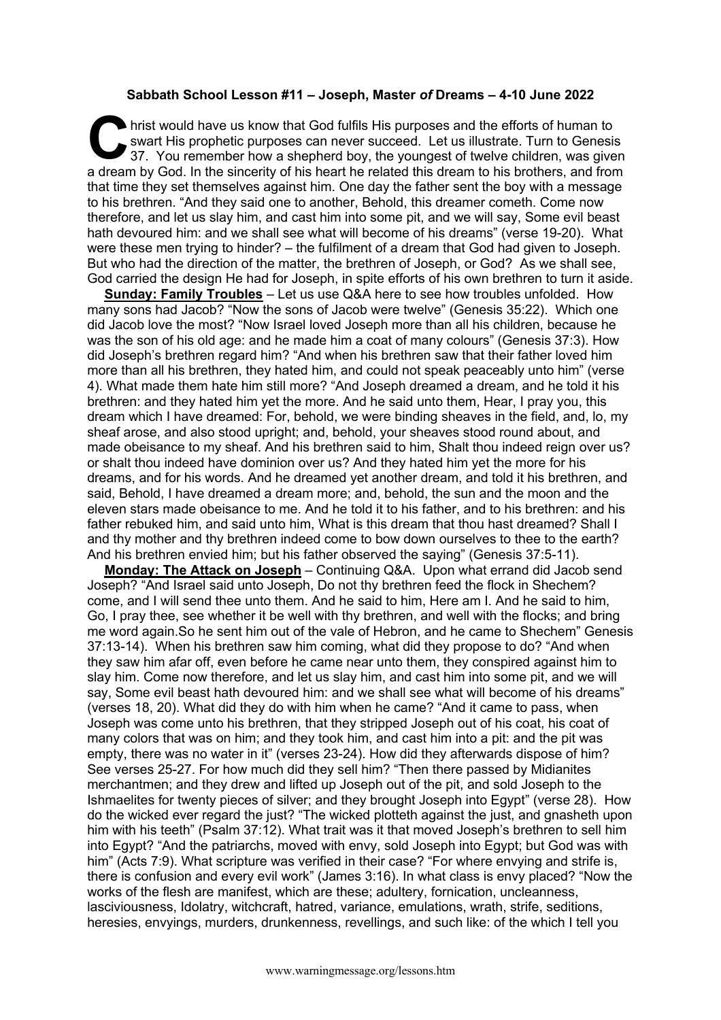## **Sabbath School Lesson #11 – Joseph, Master** *of* **Dreams – 4-10 June 2022**

hrist would have us know that God fulfils His purposes and the efforts of human to swart His prophetic purposes can never succeed. Let us illustrate. Turn to Genesis 37. You remember how a shepherd boy, the youngest of twe swart His prophetic purposes can never succeed. Let us illustrate. Turn to Genesis 37. You remember how a shepherd boy, the youngest of twelve children, was given a dream by God. In the sincerity of his heart he related this dream to his brothers, and from that time they set themselves against him. One day the father sent the boy with a message to his brethren. "And they said one to another, Behold, this dreamer cometh. Come now therefore, and let us slay him, and cast him into some pit, and we will say, Some evil beast hath devoured him: and we shall see what will become of his dreams" (verse 19-20). What were these men trying to hinder? – the fulfilment of a dream that God had given to Joseph. But who had the direction of the matter, the brethren of Joseph, or God? As we shall see, God carried the design He had for Joseph, in spite efforts of his own brethren to turn it aside.

**Sunday: Family Troubles** – Let us use Q&A here to see how troubles unfolded. How many sons had Jacob? "Now the sons of Jacob were twelve" (Genesis 35:22). Which one did Jacob love the most? "Now Israel loved Joseph more than all his children, because he was the son of his old age: and he made him a coat of many colours" (Genesis 37:3). How did Joseph's brethren regard him? "And when his brethren saw that their father loved him more than all his brethren, they hated him, and could not speak peaceably unto him" (verse 4). What made them hate him still more? "And Joseph dreamed a dream, and he told it his brethren: and they hated him yet the more. And he said unto them, Hear, I pray you, this dream which I have dreamed: For, behold, we were binding sheaves in the field, and, lo, my sheaf arose, and also stood upright; and, behold, your sheaves stood round about, and made obeisance to my sheaf. And his brethren said to him, Shalt thou indeed reign over us? or shalt thou indeed have dominion over us? And they hated him yet the more for his dreams, and for his words. And he dreamed yet another dream, and told it his brethren, and said, Behold, I have dreamed a dream more; and, behold, the sun and the moon and the eleven stars made obeisance to me. And he told it to his father, and to his brethren: and his father rebuked him, and said unto him, What is this dream that thou hast dreamed? Shall I and thy mother and thy brethren indeed come to bow down ourselves to thee to the earth? And his brethren envied him; but his father observed the saying" (Genesis 37:5-11).

**Monday: The Attack on Joseph** – Continuing Q&A. Upon what errand did Jacob send Joseph? "And Israel said unto Joseph, Do not thy brethren feed the flock in Shechem? come, and I will send thee unto them. And he said to him, Here am I. And he said to him, Go, I pray thee, see whether it be well with thy brethren, and well with the flocks; and bring me word again.So he sent him out of the vale of Hebron, and he came to Shechem" Genesis 37:13-14). When his brethren saw him coming, what did they propose to do? "And when they saw him afar off, even before he came near unto them, they conspired against him to slay him. Come now therefore, and let us slay him, and cast him into some pit, and we will say, Some evil beast hath devoured him: and we shall see what will become of his dreams" (verses 18, 20). What did they do with him when he came? "And it came to pass, when Joseph was come unto his brethren, that they stripped Joseph out of his coat, his coat of many colors that was on him; and they took him, and cast him into a pit: and the pit was empty, there was no water in it" (verses 23-24). How did they afterwards dispose of him? See verses 25-27. For how much did they sell him? "Then there passed by Midianites merchantmen; and they drew and lifted up Joseph out of the pit, and sold Joseph to the Ishmaelites for twenty pieces of silver; and they brought Joseph into Egypt" (verse 28). How do the wicked ever regard the just? "The wicked plotteth against the just, and gnasheth upon him with his teeth" (Psalm 37:12). What trait was it that moved Joseph's brethren to sell him into Egypt? "And the patriarchs, moved with envy, sold Joseph into Egypt; but God was with him" (Acts 7:9). What scripture was verified in their case? "For where envying and strife is, there is confusion and every evil work" (James 3:16). In what class is envy placed? "Now the works of the flesh are manifest, which are these; adultery, fornication, uncleanness, lasciviousness, Idolatry, witchcraft, hatred, variance, emulations, wrath, strife, seditions, heresies, envyings, murders, drunkenness, revellings, and such like: of the which I tell you